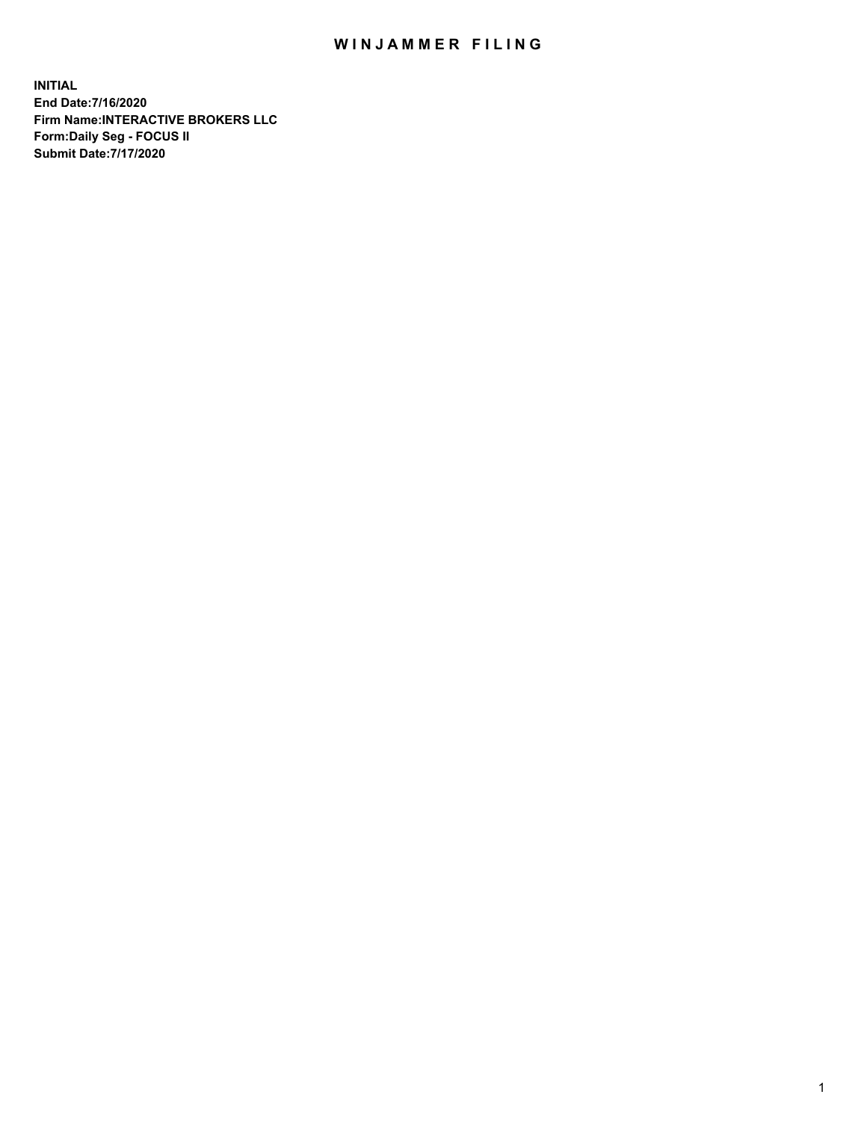## WIN JAMMER FILING

**INITIAL End Date:7/16/2020 Firm Name:INTERACTIVE BROKERS LLC Form:Daily Seg - FOCUS II Submit Date:7/17/2020**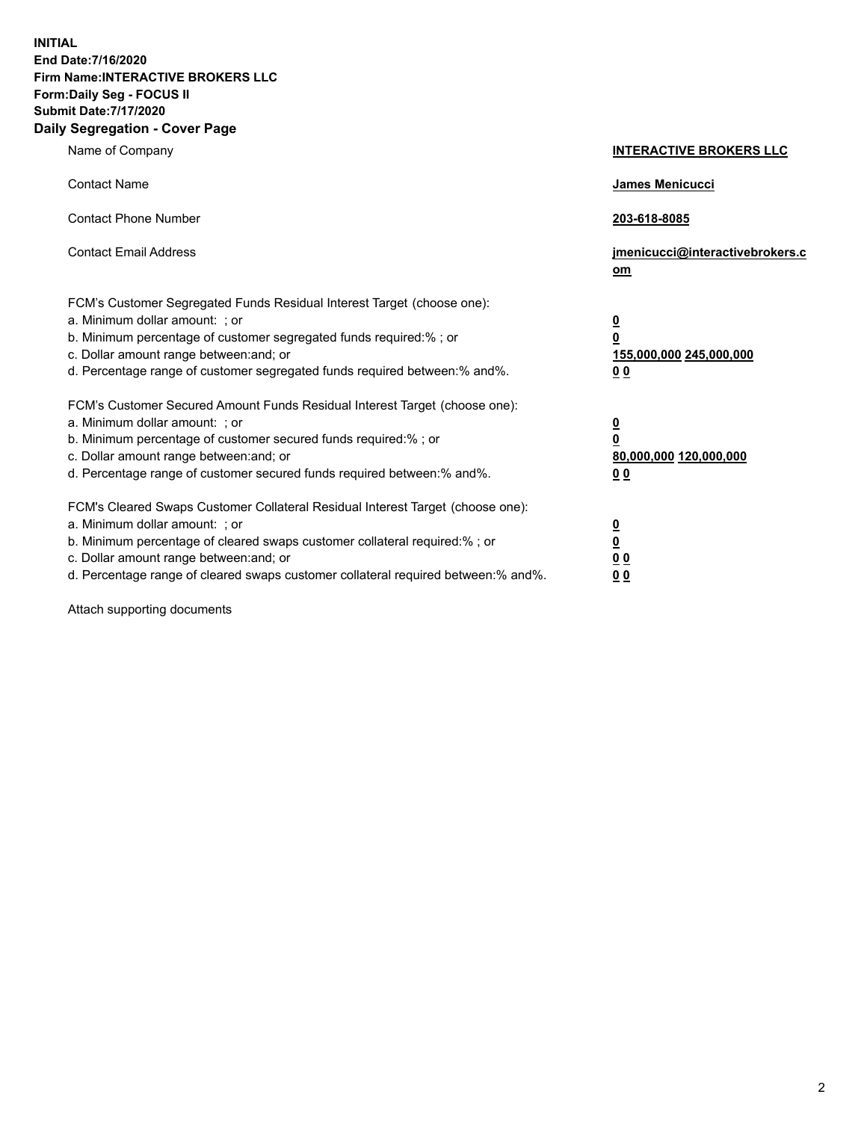**INITIAL End Date:7/16/2020 Firm Name:INTERACTIVE BROKERS LLC Form:Daily Seg - FOCUS II Submit Date:7/17/2020 Daily Segregation - Cover Page**

| Name of Company                                                                                                                                                                                                                                                                                                                | <b>INTERACTIVE BROKERS LLC</b>                                                     |  |
|--------------------------------------------------------------------------------------------------------------------------------------------------------------------------------------------------------------------------------------------------------------------------------------------------------------------------------|------------------------------------------------------------------------------------|--|
| <b>Contact Name</b>                                                                                                                                                                                                                                                                                                            | James Menicucci                                                                    |  |
| <b>Contact Phone Number</b>                                                                                                                                                                                                                                                                                                    | 203-618-8085                                                                       |  |
| <b>Contact Email Address</b>                                                                                                                                                                                                                                                                                                   | jmenicucci@interactivebrokers.c<br>om                                              |  |
| FCM's Customer Segregated Funds Residual Interest Target (choose one):<br>a. Minimum dollar amount: ; or<br>b. Minimum percentage of customer segregated funds required:% ; or<br>c. Dollar amount range between: and; or<br>d. Percentage range of customer segregated funds required between:% and%.                         | $\overline{\mathbf{0}}$<br>$\pmb{0}$<br>155,000,000 245,000,000<br>0 <sub>0</sub>  |  |
| FCM's Customer Secured Amount Funds Residual Interest Target (choose one):<br>a. Minimum dollar amount: ; or<br>b. Minimum percentage of customer secured funds required:% ; or<br>c. Dollar amount range between: and; or<br>d. Percentage range of customer secured funds required between:% and%.                           | $\overline{\mathbf{0}}$<br>$\overline{\mathbf{0}}$<br>80,000,000 120,000,000<br>00 |  |
| FCM's Cleared Swaps Customer Collateral Residual Interest Target (choose one):<br>a. Minimum dollar amount: ; or<br>b. Minimum percentage of cleared swaps customer collateral required:% ; or<br>c. Dollar amount range between: and; or<br>d. Percentage range of cleared swaps customer collateral required between:% and%. | $\frac{0}{0}$<br>0 <sub>0</sub><br>0 <sub>0</sub>                                  |  |

Attach supporting documents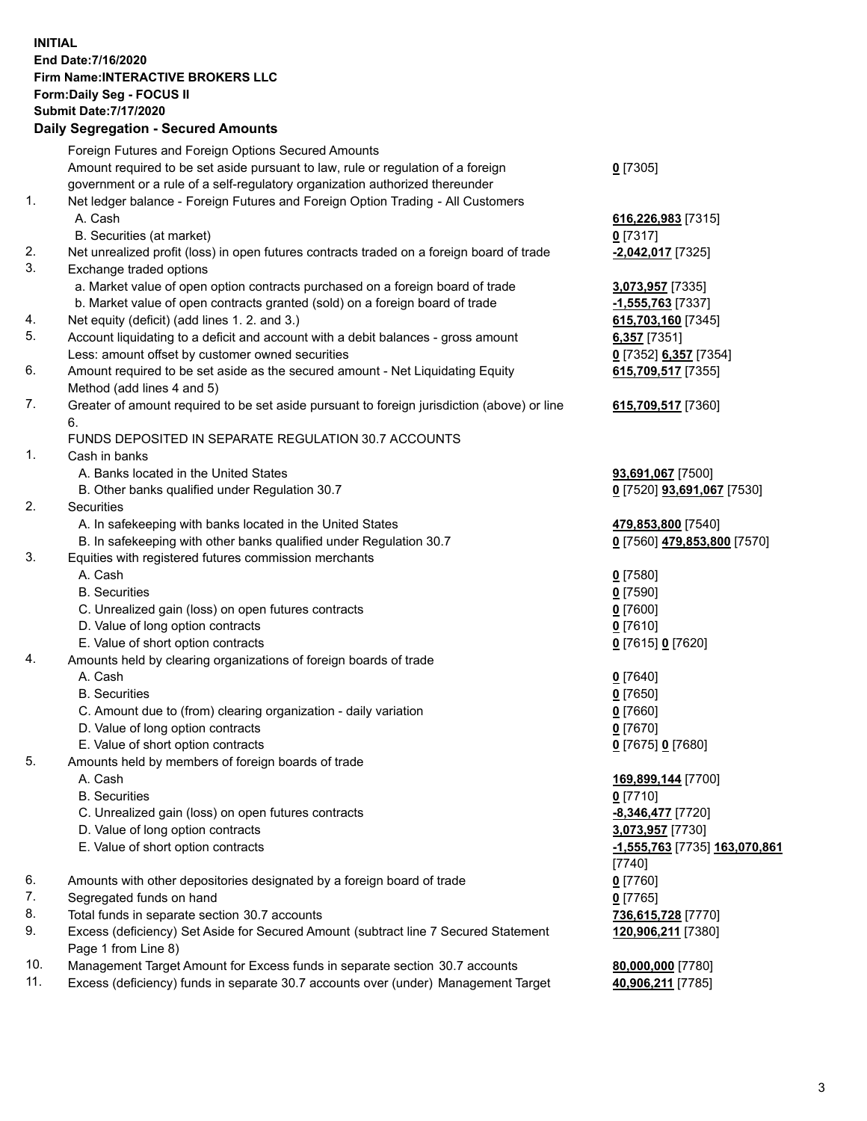**INITIAL End Date:7/16/2020 Firm Name:INTERACTIVE BROKERS LLC Form:Daily Seg - FOCUS II Submit Date:7/17/2020 Daily Segregation - Secured Amounts**

## Foreign Futures and Foreign Options Secured Amounts Amount required to be set aside pursuant to law, rule or regulation of a foreign government or a rule of a self-regulatory organization authorized thereunder **0** [7305] 1. Net ledger balance - Foreign Futures and Foreign Option Trading - All Customers A. Cash **616,226,983** [7315] B. Securities (at market) **0** [7317] 2. Net unrealized profit (loss) in open futures contracts traded on a foreign board of trade **-2,042,017** [7325] 3. Exchange traded options a. Market value of open option contracts purchased on a foreign board of trade **3,073,957** [7335] b. Market value of open contracts granted (sold) on a foreign board of trade **-1,555,763** [7337] 4. Net equity (deficit) (add lines 1. 2. and 3.) **615,703,160** [7345] 5. Account liquidating to a deficit and account with a debit balances - gross amount **6,357** [7351] Less: amount offset by customer owned securities **0** [7352] **6,357** [7354] 6. Amount required to be set aside as the secured amount - Net Liquidating Equity Method (add lines 4 and 5) **615,709,517** [7355] 7. Greater of amount required to be set aside pursuant to foreign jurisdiction (above) or line 6. **615,709,517** [7360] FUNDS DEPOSITED IN SEPARATE REGULATION 30.7 ACCOUNTS 1. Cash in banks A. Banks located in the United States **93,691,067** [7500] B. Other banks qualified under Regulation 30.7 **0** [7520] **93,691,067** [7530] 2. Securities A. In safekeeping with banks located in the United States **479,853,800** [7540] B. In safekeeping with other banks qualified under Regulation 30.7 **0** [7560] **479,853,800** [7570] 3. Equities with registered futures commission merchants A. Cash **0** [7580] B. Securities **0** [7590] C. Unrealized gain (loss) on open futures contracts **0** [7600] D. Value of long option contracts **0** [7610] E. Value of short option contracts **0** [7615] **0** [7620] 4. Amounts held by clearing organizations of foreign boards of trade A. Cash **0** [7640] B. Securities **0** [7650] C. Amount due to (from) clearing organization - daily variation **0** [7660] D. Value of long option contracts **0** [7670] E. Value of short option contracts **0** [7675] **0** [7680] 5. Amounts held by members of foreign boards of trade A. Cash **169,899,144** [7700] B. Securities **0** [7710] C. Unrealized gain (loss) on open futures contracts **-8,346,477** [7720] D. Value of long option contracts **3,073,957** [7730] E. Value of short option contracts **-1,555,763** [7735] **163,070,861** [7740] 6. Amounts with other depositories designated by a foreign board of trade **0** [7760] 7. Segregated funds on hand **0** [7765] 8. Total funds in separate section 30.7 accounts **736,615,728** [7770] 9. Excess (deficiency) Set Aside for Secured Amount (subtract line 7 Secured Statement Page 1 from Line 8) **120,906,211** [7380] 10. Management Target Amount for Excess funds in separate section 30.7 accounts **80,000,000** [7780] 11. Excess (deficiency) funds in separate 30.7 accounts over (under) Management Target **40,906,211** [7785]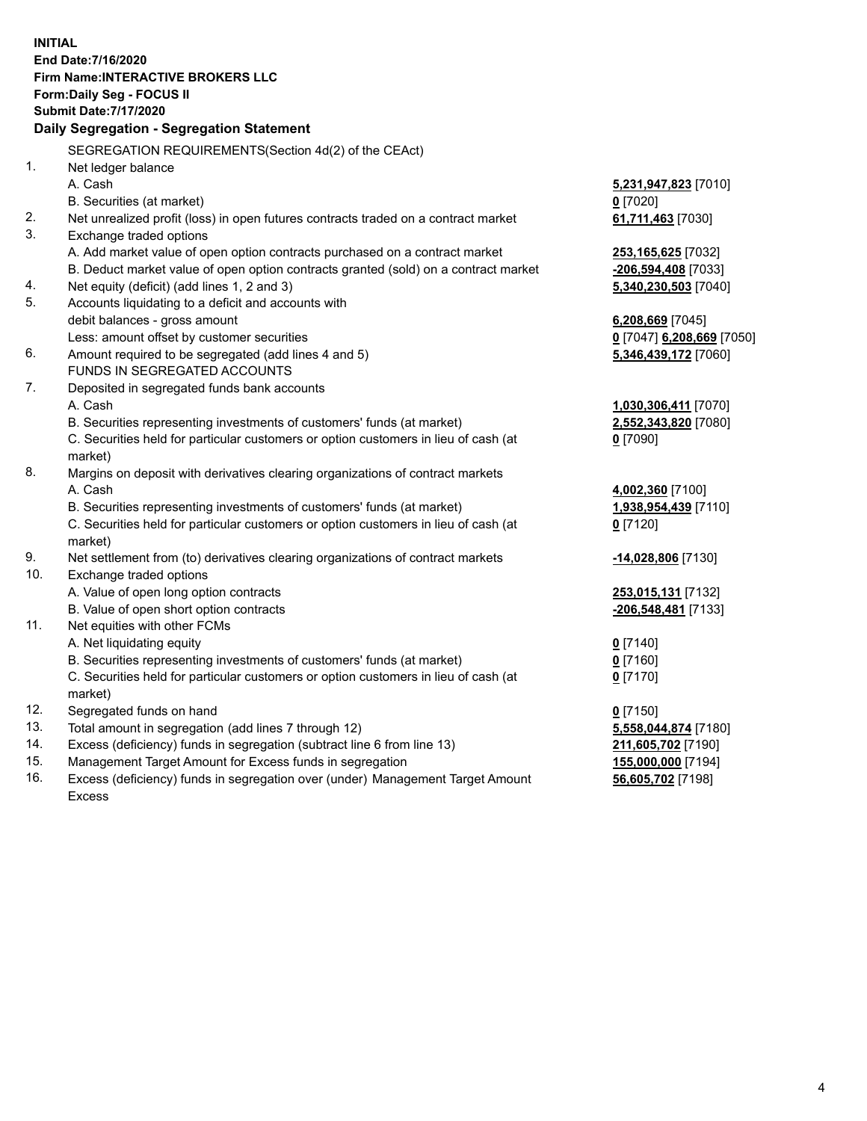**INITIAL End Date:7/16/2020 Firm Name:INTERACTIVE BROKERS LLC Form:Daily Seg - FOCUS II Submit Date:7/17/2020 Daily Segregation - Segregation Statement** SEGREGATION REQUIREMENTS(Section 4d(2) of the CEAct) 1. Net ledger balance A. Cash **5,231,947,823** [7010] B. Securities (at market) **0** [7020] 2. Net unrealized profit (loss) in open futures contracts traded on a contract market **61,711,463** [7030] 3. Exchange traded options A. Add market value of open option contracts purchased on a contract market **253,165,625** [7032] B. Deduct market value of open option contracts granted (sold) on a contract market **-206,594,408** [7033] 4. Net equity (deficit) (add lines 1, 2 and 3) **5,340,230,503** [7040] 5. Accounts liquidating to a deficit and accounts with debit balances - gross amount **6,208,669** [7045] Less: amount offset by customer securities **0** [7047] **6,208,669** [7050] 6. Amount required to be segregated (add lines 4 and 5) **5,346,439,172** [7060] FUNDS IN SEGREGATED ACCOUNTS 7. Deposited in segregated funds bank accounts A. Cash **1,030,306,411** [7070] B. Securities representing investments of customers' funds (at market) **2,552,343,820** [7080] C. Securities held for particular customers or option customers in lieu of cash (at market) **0** [7090] 8. Margins on deposit with derivatives clearing organizations of contract markets A. Cash **4,002,360** [7100] B. Securities representing investments of customers' funds (at market) **1,938,954,439** [7110] C. Securities held for particular customers or option customers in lieu of cash (at market) **0** [7120] 9. Net settlement from (to) derivatives clearing organizations of contract markets **-14,028,806** [7130] 10. Exchange traded options A. Value of open long option contracts **253,015,131** [7132] B. Value of open short option contracts **-206,548,481** [7133] 11. Net equities with other FCMs A. Net liquidating equity **0** [7140] B. Securities representing investments of customers' funds (at market) **0** [7160] C. Securities held for particular customers or option customers in lieu of cash (at market) **0** [7170] 12. Segregated funds on hand **0** [7150] 13. Total amount in segregation (add lines 7 through 12) **5,558,044,874** [7180] 14. Excess (deficiency) funds in segregation (subtract line 6 from line 13) **211,605,702** [7190] 15. Management Target Amount for Excess funds in segregation **155,000,000** [7194] 16. Excess (deficiency) funds in segregation over (under) Management Target Amount **56,605,702** [7198]

Excess